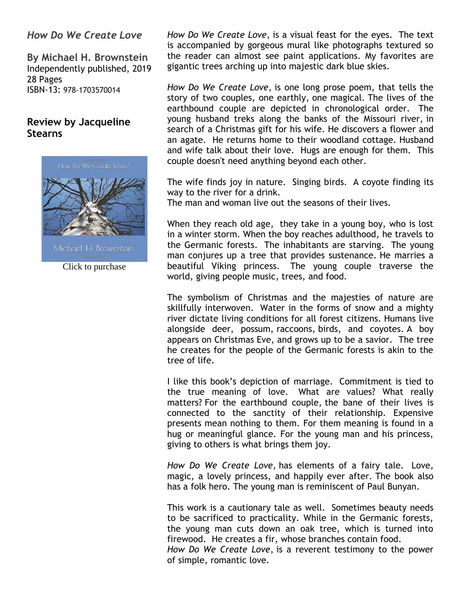#### *How Do We Create Love*

**By Michael H. Brownstein** Independently published, 2019 28 Pages ISBN-13: 978-1703570014

### **Review by Jacqueline Stearns**



Michael H. Brownstein

Click to purchase

*How Do We Create Love*, is a visual feast for the eyes. The text is accompanied by gorgeous mural like photographs textured so the reader can almost see paint applications. My favorites are gigantic trees arching up into majestic dark blue skies.

*How Do We Create Love*, is one long prose poem, that tells the story of two couples, one earthly, one magical. The lives of the earthbound couple are depicted in chronological order. The young husband treks along the banks of the Missouri river, in search of a Christmas gift for his wife. He discovers a flower and an agate. He returns home to their woodland cottage. Husband and wife talk about their love. Hugs are enough for them. This couple doesn't need anything beyond each other.

The wife finds joy in nature. Singing birds. A coyote finding its way to the river for a drink.

The man and woman live out the seasons of their lives.

When they reach old age, they take in a young boy, who is lost in a winter storm. When the boy reaches adulthood, he travels to the Germanic forests. The inhabitants are starving. The young man conjures up a tree that provides sustenance. He marries a beautiful Viking princess. The young couple traverse the world, giving people music, trees, and food.

The symbolism of Christmas and the majesties of nature are skillfully interwoven. Water in the forms of snow and a mighty river dictate living conditions for all forest citizens. Humans live alongside deer, possum, raccoons, birds, and coyotes. A boy appears on Christmas Eve, and grows up to be a savior. The tree he creates for the people of the Germanic forests is akin to the tree of life.

I like this book's depiction of marriage. Commitment is tied to the true meaning of love. What are values? What really matters? For the earthbound couple, the bane of their lives is connected to the sanctity of their relationship. Expensive presents mean nothing to them. For them meaning is found in a hug or meaningful glance. For the young man and his princess, giving to others is what brings them joy.

*How Do We Create Love*, has elements of a fairy tale. Love, magic, a lovely princess, and happily ever after. The book also has a folk hero. The young man is reminiscent of Paul Bunyan.

This work is a cautionary tale as well. Sometimes beauty needs to be sacrificed to practicality. While in the Germanic forests, the young man cuts down an oak tree, which is turned into firewood. He creates a fir, whose branches contain food. *How Do We Create Love*, is a reverent testimony to the power of simple, romantic love.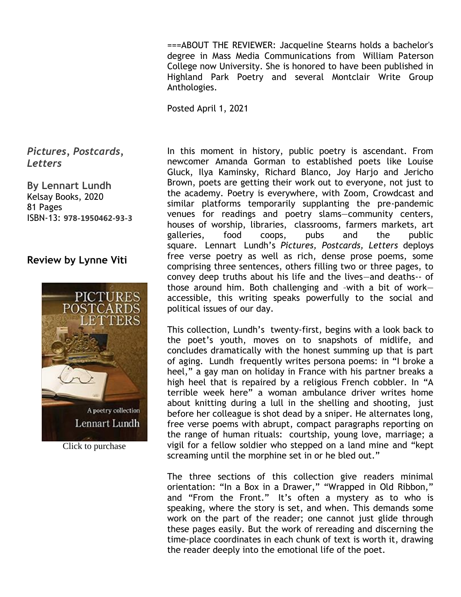===ABOUT THE REVIEWER: Jacqueline Stearns holds a bachelor's degree in Mass Media Communications from William Paterson College now University. She is honored to have been published in Highland Park Poetry and several Montclair Write Group Anthologies.

Posted April 1, 2021

*Pictures, Postcards, Letters*

**By Lennart Lundh** Kelsay Books, 2020 81 Pages ISBN-13: **978-1950462-93-3**

#### **Review by Lynne Viti**



Click to purchase

In this moment in history, public poetry is ascendant. From newcomer Amanda Gorman to established poets like Louise Gluck, Ilya Kaminsky, Richard Blanco, Joy Harjo and Jericho Brown, poets are getting their work out to everyone, not just to the academy. Poetry is everywhere, with Zoom, Crowdcast and similar platforms temporarily supplanting the pre-pandemic venues for readings and poetry slams—community centers, houses of worship, libraries, classrooms, farmers markets, art galleries, food coops, pubs and the public square*.* Lennart Lundh's *Pictures, Postcards, Letters* deploys free verse poetry as well as rich, dense prose poems, some comprising three sentences, others filling two or three pages, to convey deep truths about his life and the lives—and deaths-- of those around him. Both challenging and –with a bit of work accessible, this writing speaks powerfully to the social and political issues of our day.

This collection, Lundh's twenty-first, begins with a look back to the poet's youth, moves on to snapshots of midlife, and concludes dramatically with the honest summing up that is part of aging. Lundh frequently writes persona poems: in "I broke a heel," a gay man on holiday in France with his partner breaks a high heel that is repaired by a religious French cobbler. In "A terrible week here" a woman ambulance driver writes home about knitting during a lull in the shelling and shooting, just before her colleague is shot dead by a sniper. He alternates long, free verse poems with abrupt, compact paragraphs reporting on the range of human rituals: courtship, young love, marriage; a vigil for a fellow soldier who stepped on a land mine and "kept screaming until the morphine set in or he bled out."

The three sections of this collection give readers minimal orientation: "In a Box in a Drawer," "Wrapped in Old Ribbon," and "From the Front." It's often a mystery as to who is speaking, where the story is set, and when. This demands some work on the part of the reader; one cannot just glide through these pages easily. But the work of rereading and discerning the time-place coordinates in each chunk of text is worth it, drawing the reader deeply into the emotional life of the poet.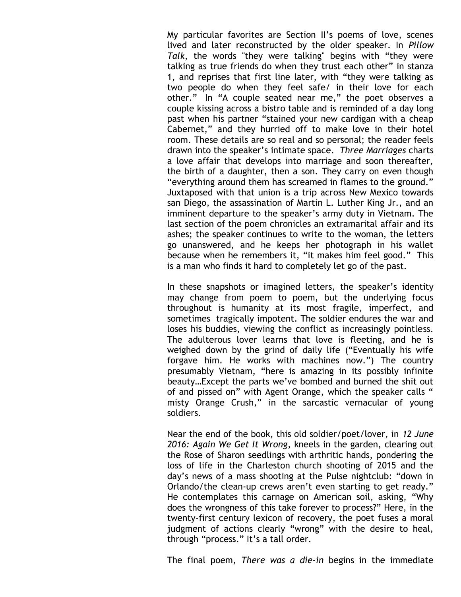My particular favorites are Section II's poems of love, scenes lived and later reconstructed by the older speaker. In *Pillow Talk*, the words "they were talking" begins with "they were talking as true friends do when they trust each other" in stanza 1, and reprises that first line later, with "they were talking as two people do when they feel safe/ in their love for each other." In "A couple seated near me," the poet observes a couple kissing across a bistro table and is reminded of a day long past when his partner "stained your new cardigan with a cheap Cabernet," and they hurried off to make love in their hotel room. These details are so real and so personal; the reader feels drawn into the speaker's intimate space. *Three Marriages* charts a love affair that develops into marriage and soon thereafter, the birth of a daughter, then a son. They carry on even though "everything around them has screamed in flames to the ground." Juxtaposed with that union is a trip across New Mexico towards san Diego, the assassination of Martin L. Luther King Jr., and an imminent departure to the speaker's army duty in Vietnam. The last section of the poem chronicles an extramarital affair and its ashes; the speaker continues to write to the woman, the letters go unanswered, and he keeps her photograph in his wallet because when he remembers it, "it makes him feel good." This is a man who finds it hard to completely let go of the past.

In these snapshots or imagined letters, the speaker's identity may change from poem to poem, but the underlying focus throughout is humanity at its most fragile, imperfect, and sometimes tragically impotent. The soldier endures the war and loses his buddies, viewing the conflict as increasingly pointless. The adulterous lover learns that love is fleeting, and he is weighed down by the grind of daily life ("Eventually his wife forgave him. He works with machines now.") The country presumably Vietnam, "here is amazing in its possibly infinite beauty…Except the parts we've bombed and burned the shit out of and pissed on" with Agent Orange, which the speaker calls " misty Orange Crush," in the sarcastic vernacular of young soldiers.

Near the end of the book, this old soldier/poet/lover, in *12 June 2016: Again We Get It Wrong*, kneels in the garden, clearing out the Rose of Sharon seedlings with arthritic hands, pondering the loss of life in the Charleston church shooting of 2015 and the day's news of a mass shooting at the Pulse nightclub: "down in Orlando/the clean-up crews aren't even starting to get ready." He contemplates this carnage on American soil, asking, "Why does the wrongness of this take forever to process?" Here, in the twenty-first century lexicon of recovery, the poet fuses a moral judgment of actions clearly "wrong" with the desire to heal, through "process." It's a tall order.

The final poem, *There was a die-in* begins in the immediate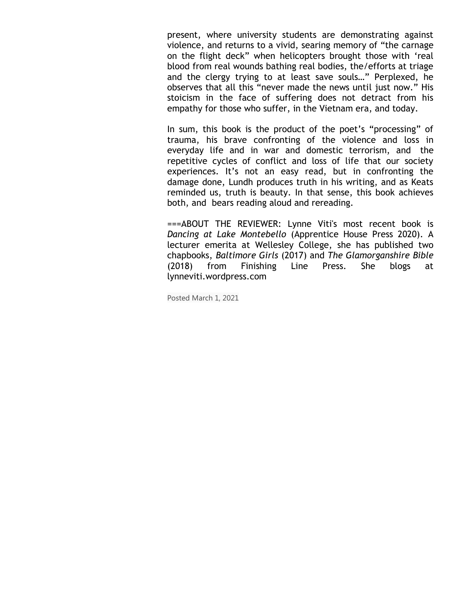present, where university students are demonstrating against violence, and returns to a vivid, searing memory of "the carnage on the flight deck" when helicopters brought those with 'real blood from real wounds bathing real bodies, the/efforts at triage and the clergy trying to at least save souls…" Perplexed, he observes that all this "never made the news until just now." His stoicism in the face of suffering does not detract from his empathy for those who suffer, in the Vietnam era, and today.

In sum, this book is the product of the poet's "processing" of trauma, his brave confronting of the violence and loss in everyday life and in war and domestic terrorism, and the repetitive cycles of conflict and loss of life that our society experiences. It's not an easy read, but in confronting the damage done, Lundh produces truth in his writing, and as Keats reminded us, truth is beauty. In that sense, this book achieves both, and bears reading aloud and rereading.

===ABOUT THE REVIEWER: Lynne Viti's most recent book is *Dancing at Lake Montebello* (Apprentice House Press 2020). A lecturer emerita at Wellesley College, she has published two chapbooks, *Baltimore Girls* (2017) and *The Glamorganshire Bible* (2018) from Finishing Line Press. She blogs at lynneviti.wordpress.com

Posted March 1, 2021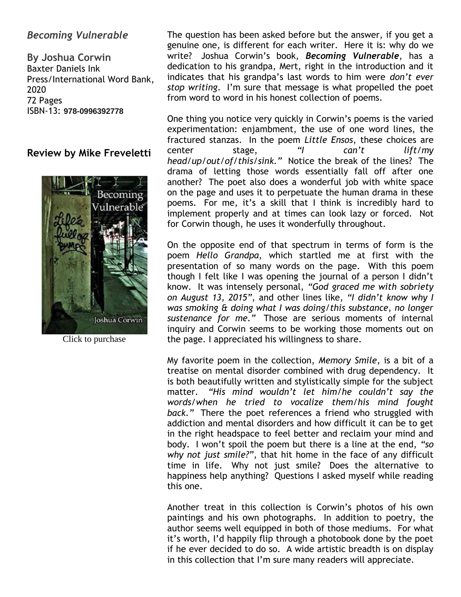### *Becoming Vulnerable*

**By Joshua Corwin** Baxter Daniels Ink Press/International Word Bank, 2020 72 Pages ISBN-13: **978-0996392778**

#### **Review by Mike Freveletti**



Click to purchase

The question has been asked before but the answer, if you get a genuine one, is different for each writer. Here it is: why do we write? Joshua Corwin's book, *Becoming Vulnerable*, has a dedication to his grandpa, Mert, right in the introduction and it indicates that his grandpa's last words to him were *don't ever stop writing*. I'm sure that message is what propelled the poet from word to word in his honest collection of poems.

One thing you notice very quickly in Corwin's poems is the varied experimentation: enjambment, the use of one word lines, the fractured stanzas. In the poem *Little Ensos*, these choices are center stage, *"I can't lift/my head/up/out/of/this/sink."* Notice the break of the lines? The drama of letting those words essentially fall off after one another? The poet also does a wonderful job with white space on the page and uses it to perpetuate the human drama in these poems. For me, it's a skill that I think is incredibly hard to implement properly and at times can look lazy or forced. Not for Corwin though, he uses it wonderfully throughout.

On the opposite end of that spectrum in terms of form is the poem *Hello Grandpa*, which startled me at first with the presentation of so many words on the page. With this poem though I felt like I was opening the journal of a person I didn't know. It was intensely personal, *"God graced me with sobriety on August 13, 2015"*, and other lines like, *"I didn't know why I was smoking & doing what I was doing/this substance, no longer sustenance for me."* Those are serious moments of internal inquiry and Corwin seems to be working those moments out on the page. I appreciated his willingness to share.

My favorite poem in the collection, *Memory Smile*, is a bit of a treatise on mental disorder combined with drug dependency. It is both beautifully written and stylistically simple for the subject matter. *"His mind wouldn't let him/he couldn't say the words/when he tried to vocalize them/his mind fought back."* There the poet references a friend who struggled with addiction and mental disorders and how difficult it can be to get in the right headspace to feel better and reclaim your mind and body. I won't spoil the poem but there is a line at the end, *"so why not just smile?"*, that hit home in the face of any difficult time in life. Why not just smile? Does the alternative to happiness help anything? Questions I asked myself while reading this one.

Another treat in this collection is Corwin's photos of his own paintings and his own photographs. In addition to poetry, the author seems well equipped in both of those mediums. For what it's worth, I'd happily flip through a photobook done by the poet if he ever decided to do so. A wide artistic breadth is on display in this collection that I'm sure many readers will appreciate.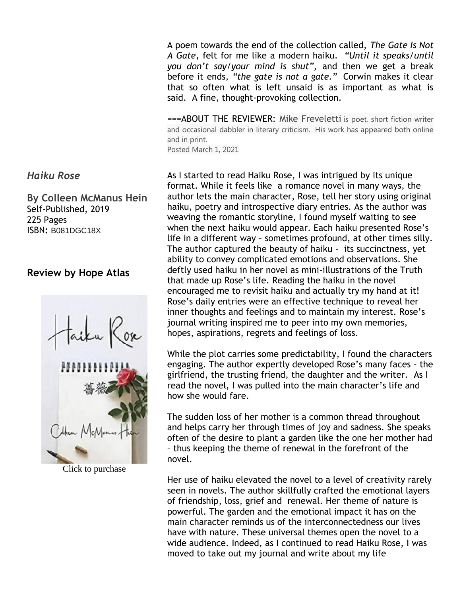A poem towards the end of the collection called, *The Gate Is Not A Gate*, felt for me like a modern haiku. *"Until it speaks/until you don't say/your mind is shut",* and then we get a break before it ends, *"the gate is not a gate."* Corwin makes it clear that so often what is left unsaid is as important as what is said. A fine, thought-provoking collection.

===ABOUT THE REVIEWER: Mike Freveletti is poet, short fiction writer and occasional dabbler in literary criticism. His work has appeared both online and in print.

Posted March 1, 2021

As I started to read Haiku Rose, I was intrigued by its unique format. While it feels like a romance novel in many ways, the author lets the main character, Rose, tell her story using original haiku, poetry and introspective diary entries. As the author was weaving the romantic storyline, I found myself waiting to see when the next haiku would appear. Each haiku presented Rose's life in a different way – sometimes profound, at other times silly. The author captured the beauty of haiku - its succinctness, yet ability to convey complicated emotions and observations. She deftly used haiku in her novel as mini-illustrations of the Truth that made up Rose's life. Reading the haiku in the novel encouraged me to revisit haiku and actually try my hand at it! Rose's daily entries were an effective technique to reveal her inner thoughts and feelings and to maintain my interest. Rose's journal writing inspired me to peer into my own memories, hopes, aspirations, regrets and feelings of loss.

While the plot carries some predictability, I found the characters engaging. The author expertly developed Rose's many faces - the girlfriend, the trusting friend, the daughter and the writer. As I read the novel, I was pulled into the main character's life and how she would fare.

The sudden loss of her mother is a common thread throughout and helps carry her through times of joy and sadness. She speaks often of the desire to plant a garden like the one her mother had – thus keeping the theme of renewal in the forefront of the novel.

Her use of haiku elevated the novel to a level of creativity rarely seen in novels. The author skillfully crafted the emotional layers of friendship, loss, grief and renewal. Her theme of nature is powerful. The garden and the emotional impact it has on the main character reminds us of the interconnectedness our lives have with nature. These universal themes open the novel to a wide audience. Indeed, as I continued to read Haiku Rose, I was moved to take out my journal and write about my life

#### *Haiku Rose*

**By Colleen McManus Hein** Self-Published, 2019 225 Pages ISBN**:** B081DGC18X

#### **Review by Hope Atlas**



Click to purchase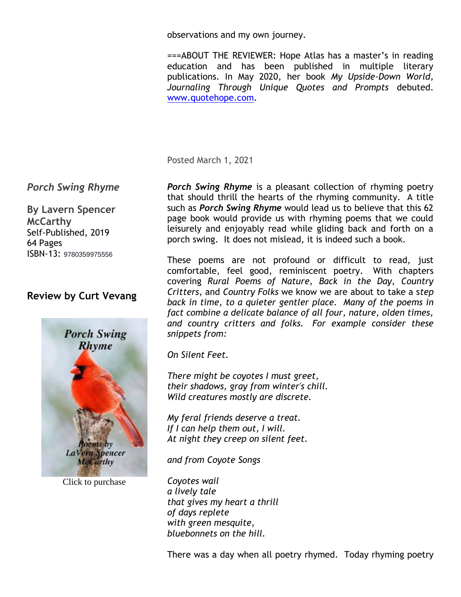observations and my own journey.

===ABOUT THE REVIEWER: Hope Atlas has a master's in reading education and has been published in multiple literary publications. In May 2020, her book *My Upside-Down World, Journaling Through Unique Quotes and Prompts* debuted. [www.quotehope.com.](http://www.quotehope.com/)

Posted March 1, 2021

### *Porch Swing Rhyme*

**By Lavern Spencer McCarthy** Self-Published, 2019 64 Pages ISBN-13: 9780359975556

### **Review by Curt Vevang**



Click to purchase

*Porch Swing Rhyme* is a pleasant collection of rhyming poetry that should thrill the hearts of the rhyming community. A title such as *Porch Swing Rhyme* would lead us to believe that this 62 page book would provide us with rhyming poems that we could leisurely and enjoyably read while gliding back and forth on a porch swing. It does not mislead, it is indeed such a book.

These poems are not profound or difficult to read, just comfortable, feel good, reminiscent poetry. With chapters covering *Rural Poems of Nature, Back in the Day, Country Critters,* and *Country Folks* we know we are about to take a s*tep back in time, to a quieter gentler place. Many of the poems in fact combine a delicate balance of all four, nature, olden times, and country critters and folks. For example consider these snippets from:*

*On Silent Feet.*

*There might be coyotes I must greet, their shadows, gray from winter's chill. Wild creatures mostly are discrete.*

*My feral friends deserve a treat. If I can help them out, I will. At night they creep on silent feet.*

*and from Coyote Songs*

*Coyotes wail a lively tale that gives my heart a thrill of days replete with green mesquite, bluebonnets on the hill.*

There was a day when all poetry rhymed. Today rhyming poetry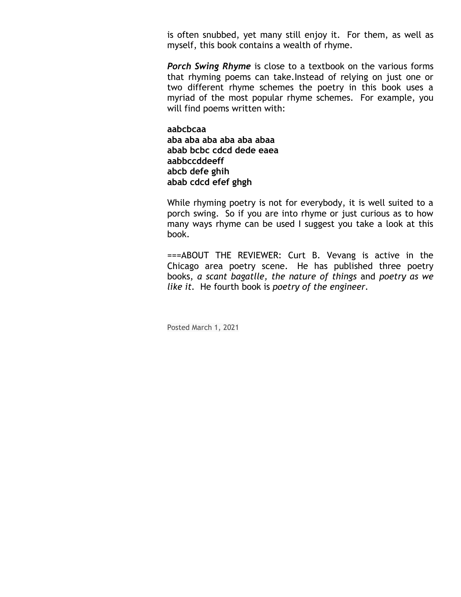is often snubbed, yet many still enjoy it. For them, as well as myself, this book contains a wealth of rhyme.

*Porch Swing Rhyme* is close to a textbook on the various forms that rhyming poems can take.Instead of relying on just one or two different rhyme schemes the poetry in this book uses a myriad of the most popular rhyme schemes. For example, you will find poems written with:

**aabcbcaa aba aba aba aba aba abaa abab bcbc cdcd dede eaea aabbccddeeff abcb defe ghih abab cdcd efef ghgh**

While rhyming poetry is not for everybody, it is well suited to a porch swing. So if you are into rhyme or just curious as to how many ways rhyme can be used I suggest you take a look at this book.

===ABOUT THE REVIEWER: Curt B. Vevang is active in the Chicago area poetry scene. He has published three poetry books, *a scant bagatlle, the nature of things* and *poetry as we like it.* He fourth book is *poetry of the engineer.*

Posted March 1, 2021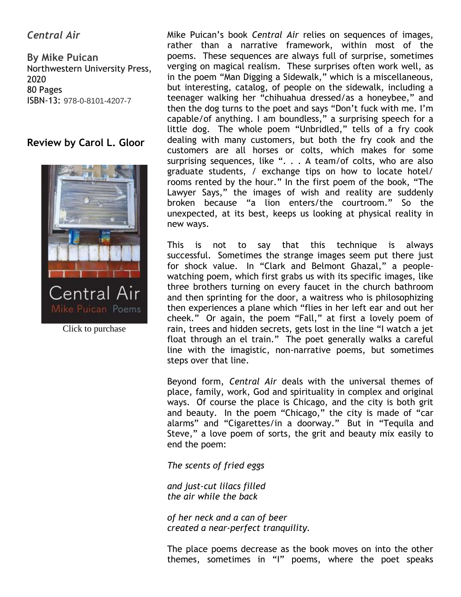# *Central Air*

**By Mike Puican** Northwestern University Press, 2020 80 Pages ISBN-13: 978-0-8101-4207-7

#### **Review by Carol L. Gloor**



Click to purchase

Mike Puican's book *Central Air* relies on sequences of images, rather than a narrative framework, within most of the poems. These sequences are always full of surprise, sometimes verging on magical realism. These surprises often work well, as in the poem "Man Digging a Sidewalk," which is a miscellaneous, but interesting, catalog, of people on the sidewalk, including a teenager walking her "chihuahua dressed/as a honeybee," and then the dog turns to the poet and says "Don't fuck with me. I'm capable/of anything. I am boundless," a surprising speech for a little dog. The whole poem "Unbridled," tells of a fry cook dealing with many customers, but both the fry cook and the customers are all horses or colts, which makes for some surprising sequences, like ". . . A team/of colts, who are also graduate students, / exchange tips on how to locate hotel/ rooms rented by the hour." In the first poem of the book, "The Lawyer Says," the images of wish and reality are suddenly broken because "a lion enters/the courtroom." So the unexpected, at its best, keeps us looking at physical reality in new ways.

This is not to say that this technique is always successful. Sometimes the strange images seem put there just for shock value. In "Clark and Belmont Ghazal," a peoplewatching poem, which first grabs us with its specific images, like three brothers turning on every faucet in the church bathroom and then sprinting for the door, a waitress who is philosophizing then experiences a plane which "flies in her left ear and out her cheek." Or again, the poem "Fall," at first a lovely poem of rain, trees and hidden secrets, gets lost in the line "I watch a jet float through an el train." The poet generally walks a careful line with the imagistic, non-narrative poems, but sometimes steps over that line.

Beyond form, *Central Air* deals with the universal themes of place, family, work, God and spirituality in complex and original ways. Of course the place is Chicago, and the city is both grit and beauty. In the poem "Chicago," the city is made of "car alarms" and "Cigarettes/in a doorway." But in "Tequila and Steve," a love poem of sorts, the grit and beauty mix easily to end the poem:

*The scents of fried eggs*

*and just-cut lilacs filled the air while the back*

*of her neck and a can of beer created a near-perfect tranquility.*

The place poems decrease as the book moves on into the other themes, sometimes in "I" poems, where the poet speaks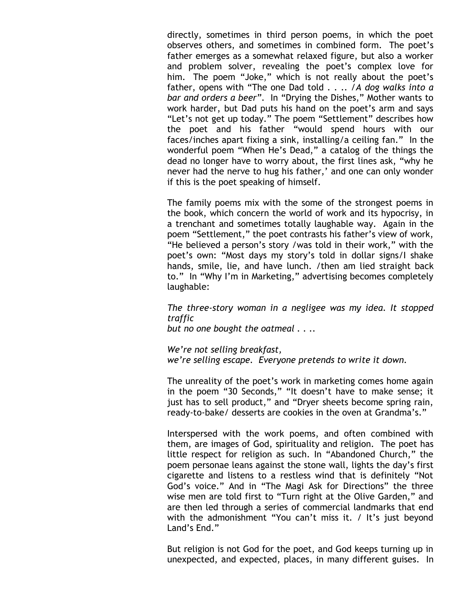directly, sometimes in third person poems, in which the poet observes others, and sometimes in combined form. The poet's father emerges as a somewhat relaxed figure, but also a worker and problem solver, revealing the poet's complex love for him. The poem "Joke," which is not really about the poet's father, opens with "The one Dad told . . .. /*A dog walks into a bar and orders a beer"*. In "Drying the Dishes," Mother wants to work harder, but Dad puts his hand on the poet's arm and says "Let's not get up today." The poem "Settlement" describes how the poet and his father "would spend hours with our faces/inches apart fixing a sink, installing/a ceiling fan." In the wonderful poem "When He's Dead," a catalog of the things the dead no longer have to worry about, the first lines ask, "why he never had the nerve to hug his father,' and one can only wonder if this is the poet speaking of himself.

The family poems mix with the some of the strongest poems in the book, which concern the world of work and its hypocrisy, in a trenchant and sometimes totally laughable way. Again in the poem "Settlement," the poet contrasts his father's view of work, "He believed a person's story /was told in their work," with the poet's own: "Most days my story's told in dollar signs/I shake hands, smile, lie, and have lunch. /then am lied straight back to." In "Why I'm in Marketing," advertising becomes completely laughable:

*The three-story woman in a negligee was my idea. It stopped traffic*

*but no one bought the oatmeal . . ..* 

*We're not selling breakfast, we're selling escape. Everyone pretends to write it down.*

The unreality of the poet's work in marketing comes home again in the poem "30 Seconds," "It doesn't have to make sense; it just has to sell product," and "Dryer sheets become spring rain, ready-to-bake/ desserts are cookies in the oven at Grandma's."

Interspersed with the work poems, and often combined with them, are images of God, spirituality and religion. The poet has little respect for religion as such. In "Abandoned Church," the poem personae leans against the stone wall, lights the day's first cigarette and listens to a restless wind that is definitely "Not God's voice." And in "The Magi Ask for Directions" the three wise men are told first to "Turn right at the Olive Garden," and are then led through a series of commercial landmarks that end with the admonishment "You can't miss it. / It's just beyond Land's End."

But religion is not God for the poet, and God keeps turning up in unexpected, and expected, places, in many different guises. In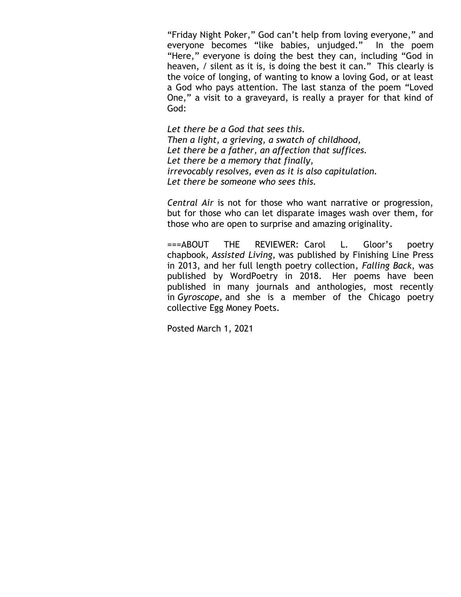"Friday Night Poker," God can't help from loving everyone," and everyone becomes "like babies, unjudged." In the poem "Here," everyone is doing the best they can, including "God in heaven, / silent as it is, is doing the best it can." This clearly is the voice of longing, of wanting to know a loving God, or at least a God who pays attention. The last stanza of the poem "Loved One," a visit to a graveyard, is really a prayer for that kind of God:

*Let there be a God that sees this. Then a light, a grieving, a swatch of childhood, Let there be a father, an affection that suffices. Let there be a memory that finally, irrevocably resolves, even as it is also capitulation. Let there be someone who sees this.* 

*Central Air* is not for those who want narrative or progression, but for those who can let disparate images wash over them, for those who are open to surprise and amazing originality.

===ABOUT THE REVIEWER: Carol L. Gloor's poetry chapbook, *Assisted Living,* was published by Finishing Line Press in 2013, and her full length poetry collection*, Falling Back*, was published by WordPoetry in 2018. Her poems have been published in many journals and anthologies, most recently in *Gyroscope,* and she is a member of the Chicago poetry collective Egg Money Poets.

Posted March 1, 2021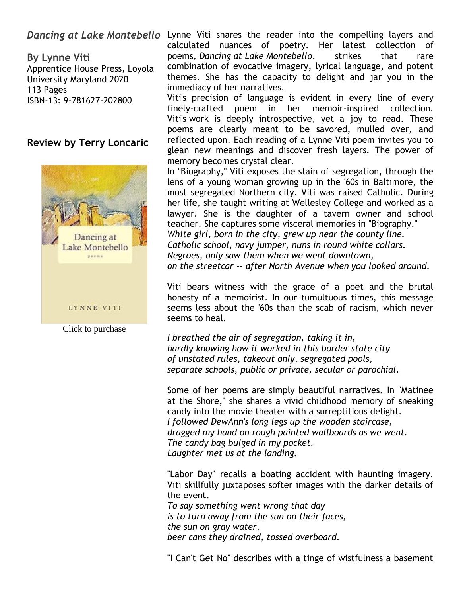**By Lynne Viti** Apprentice House Press, Loyola University Maryland 2020 113 Pages ISBN-13: 9-781627-202800

#### **Review by Terry Loncaric**



Click to purchase

Dancing at Lake Montebello Lynne Viti snares the reader into the compelling layers and calculated nuances of poetry. Her latest collection of poems, *Dancing at Lake Montebello*, strikes that rare combination of evocative imagery, lyrical language, and potent themes. She has the capacity to delight and jar you in the immediacy of her narratives.

> Viti's precision of language is evident in every line of every finely-crafted poem in her memoir-inspired collection. Viti's work is deeply introspective, yet a joy to read. These poems are clearly meant to be savored, mulled over, and reflected upon. Each reading of a Lynne Viti poem invites you to glean new meanings and discover fresh layers. The power of memory becomes crystal clear.

> In "Biography," Viti exposes the stain of segregation, through the lens of a young woman growing up in the '60s in Baltimore, the most segregated Northern city. Viti was raised Catholic. During her life, she taught writing at Wellesley College and worked as a lawyer. She is the daughter of a tavern owner and school teacher. She captures some visceral memories in "Biography." *White girl, born in the city, grew up near the county line. Catholic school, navy jumper, nuns in round white collars. Negroes, only saw them when we went downtown, on the streetcar -- after North Avenue when you looked around.*

> Viti bears witness with the grace of a poet and the brutal honesty of a memoirist. In our tumultuous times, this message seems less about the '60s than the scab of racism, which never seems to heal.

*I breathed the air of segregation, taking it in, hardly knowing how it worked in this border state city of unstated rules, takeout only, segregated pools, separate schools, public or private, secular or parochial.*

Some of her poems are simply beautiful narratives. In "Matinee at the Shore," she shares a vivid childhood memory of sneaking candy into the movie theater with a surreptitious delight. *I followed DewAnn's long legs up the wooden staircase, dragged my hand on rough painted wallboards as we went. The candy bag bulged in my pocket. Laughter met us at the landing.*

"Labor Day" recalls a boating accident with haunting imagery. Viti skillfully juxtaposes softer images with the darker details of the event. *To say something went wrong that day is to turn away from the sun on their faces, the sun on gray water, beer cans they drained, tossed overboard.*

"I Can't Get No" describes with a tinge of wistfulness a basement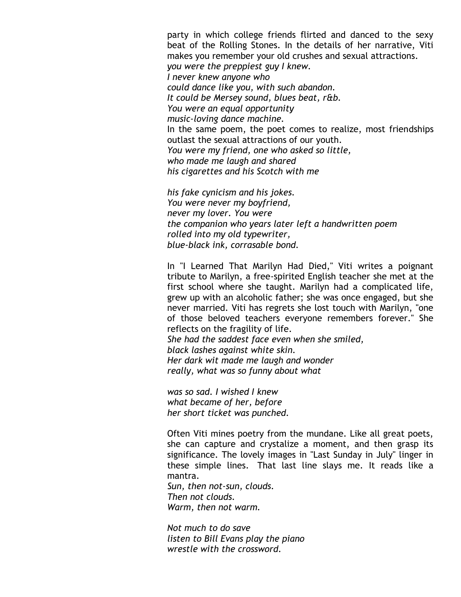party in which college friends flirted and danced to the sexy beat of the Rolling Stones. In the details of her narrative, Viti makes you remember your old crushes and sexual attractions. *you were the preppiest guy I knew. I never knew anyone who could dance like you, with such abandon. It could be Mersey sound, blues beat, r&b. You were an equal opportunity music-loving dance machine.* In the same poem, the poet comes to realize, most friendships outlast the sexual attractions of our youth. *You were my friend, one who asked so little, who made me laugh and shared his cigarettes and his Scotch with me*

*his fake cynicism and his jokes. You were never my boyfriend, never my lover. You were the companion who years later left a handwritten poem rolled into my old typewriter, blue-black ink, corrasable bond.*

In "I Learned That Marilyn Had Died," Viti writes a poignant tribute to Marilyn, a free-spirited English teacher she met at the first school where she taught. Marilyn had a complicated life, grew up with an alcoholic father; she was once engaged, but she never married. Viti has regrets she lost touch with Marilyn, "one of those beloved teachers everyone remembers forever." She reflects on the fragility of life.

*She had the saddest face even when she smiled, black lashes against white skin. Her dark wit made me laugh and wonder really, what was so funny about what*

*was so sad. I wished I knew what became of her, before her short ticket was punched.*

Often Viti mines poetry from the mundane. Like all great poets, she can capture and crystalize a moment, and then grasp its significance. The lovely images in "Last Sunday in July" linger in these simple lines. That last line slays me. It reads like a mantra.

*Sun, then not-sun, clouds. Then not clouds. Warm, then not warm.*

*Not much to do save listen to Bill Evans play the piano wrestle with the crossword.*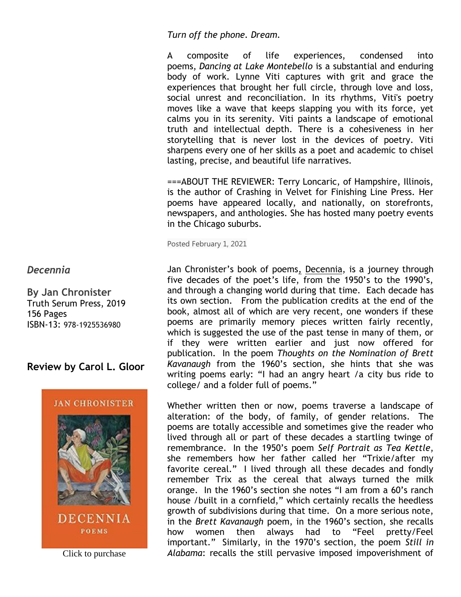*Turn off the phone. Dream.*

A composite of life experiences, condensed into poems, *Dancing at Lake Montebello* is a substantial and enduring body of work. Lynne Viti captures with grit and grace the experiences that brought her full circle, through love and loss, social unrest and reconciliation. In its rhythms, Viti's poetry moves like a wave that keeps slapping you with its force, yet calms you in its serenity. Viti paints a landscape of emotional truth and intellectual depth. There is a cohesiveness in her storytelling that is never lost in the devices of poetry. Viti sharpens every one of her skills as a poet and academic to chisel lasting, precise, and beautiful life narratives.

===ABOUT THE REVIEWER: Terry Loncaric, of Hampshire, Illinois, is the author of Crashing in Velvet for Finishing Line Press. Her poems have appeared locally, and nationally, on storefronts, newspapers, and anthologies. She has hosted many poetry events in the Chicago suburbs.

Posted February 1, 2021

Jan Chronister's book of poems, Decennia, is a journey through five decades of the poet's life, from the 1950's to the 1990's, and through a changing world during that time. Each decade has its own section. From the publication credits at the end of the book, almost all of which are very recent, one wonders if these poems are primarily memory pieces written fairly recently, which is suggested the use of the past tense in many of them, or if they were written earlier and just now offered for publication. In the poem *Thoughts on the Nomination of Brett Kavanaugh* from the 1960's section, she hints that she was writing poems early: "I had an angry heart /a city bus ride to college/ and a folder full of poems."

Whether written then or now, poems traverse a landscape of alteration: of the body, of family, of gender relations. The poems are totally accessible and sometimes give the reader who lived through all or part of these decades a startling twinge of remembrance. In the 1950's poem *Self Portrait as Tea Kettle*, she remembers how her father called her "Trixie/after my favorite cereal." I lived through all these decades and fondly remember Trix as the cereal that always turned the milk orange. In the 1960's section she notes "I am from a 60's ranch house /built in a cornfield," which certainly recalls the heedless growth of subdivisions during that time. On a more serious note, in the *Brett Kavanaugh* poem, in the 1960's section, she recalls how women then always had to "Feel pretty/Feel important." Similarly, in the 1970's section, the poem *Still in*  Click to purchase *Alabama*: recalls the still pervasive imposed impoverishment of

*Decennia*

**By Jan Chronister** Truth Serum Press, 2019 156 Pages ISBN-13: 978-1925536980

**Review by Carol L. Gloor**



**DECENNIA POEMS**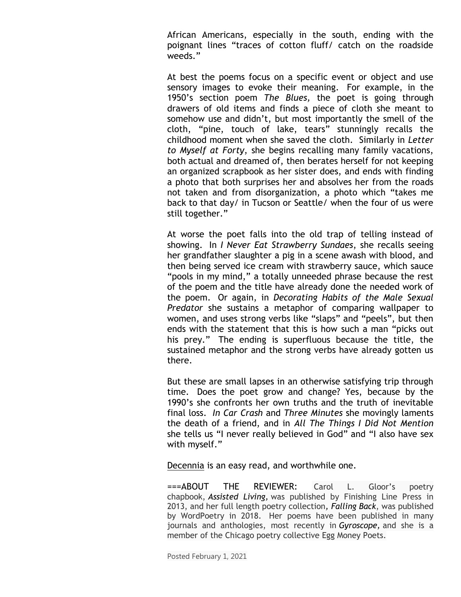African Americans, especially in the south, ending with the poignant lines "traces of cotton fluff/ catch on the roadside weeds."

At best the poems focus on a specific event or object and use sensory images to evoke their meaning. For example, in the 1950's section poem *The Blues,* the poet is going through drawers of old items and finds a piece of cloth she meant to somehow use and didn't, but most importantly the smell of the cloth, "pine, touch of lake, tears" stunningly recalls the childhood moment when she saved the cloth. Similarly in *Letter to Myself at Forty*, she begins recalling many family vacations, both actual and dreamed of, then berates herself for not keeping an organized scrapbook as her sister does, and ends with finding a photo that both surprises her and absolves her from the roads not taken and from disorganization, a photo which "takes me back to that day/ in Tucson or Seattle/ when the four of us were still together."

At worse the poet falls into the old trap of telling instead of showing. In *I Never Eat Strawberry Sundaes*, she recalls seeing her grandfather slaughter a pig in a scene awash with blood, and then being served ice cream with strawberry sauce, which sauce "pools in my mind," a totally unneeded phrase because the rest of the poem and the title have already done the needed work of the poem. Or again, in *Decorating Habits of the Male Sexual Predator* she sustains a metaphor of comparing wallpaper to women, and uses strong verbs like "slaps" and "peels", but then ends with the statement that this is how such a man "picks out his prey." The ending is superfluous because the title, the sustained metaphor and the strong verbs have already gotten us there.

But these are small lapses in an otherwise satisfying trip through time. Does the poet grow and change? Yes, because by the 1990's she confronts her own truths and the truth of inevitable final loss. *In Car Crash* and *Three Minutes* she movingly laments the death of a friend, and in *All The Things I Did Not Mention*  she tells us "I never really believed in God" and "I also have sex with myself."

Decennia is an easy read, and worthwhile one.

===ABOUT THE REVIEWER: Carol L. Gloor's poetry chapbook, *Assisted Living,* was published by Finishing Line Press in 2013, and her full length poetry collection*, Falling Back*, was published by WordPoetry in 2018. Her poems have been published in many journals and anthologies, most recently in *Gyroscope,* and she is a member of the Chicago poetry collective Egg Money Poets.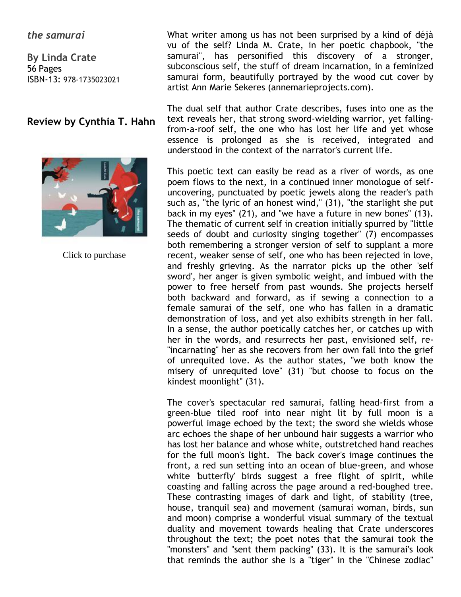#### *the samurai*

**By Linda Crate** 56 Pages ISBN-13: 978-1735023021

### **Review by Cynthia T. Hahn**



Click to purchase

What writer among us has not been surprised by a kind of déjà vu of the self? Linda M. Crate, in her poetic chapbook, "the samurai", has personified this discovery of a stronger, subconscious self, the stuff of dream incarnation, in a feminized samurai form, beautifully portrayed by the wood cut cover by artist Ann Marie Sekeres (annemarieprojects.com).

The dual self that author Crate describes, fuses into one as the text reveals her, that strong sword-wielding warrior, yet fallingfrom-a-roof self, the one who has lost her life and yet whose essence is prolonged as she is received, integrated and understood in the context of the narrator's current life.

This poetic text can easily be read as a river of words, as one poem flows to the next, in a continued inner monologue of selfuncovering, punctuated by poetic jewels along the reader's path such as, "the lyric of an honest wind," (31), "the starlight she put back in my eyes" (21), and "we have a future in new bones" (13). The thematic of current self in creation initially spurred by "little seeds of doubt and curiosity singing together" (7) encompasses both remembering a stronger version of self to supplant a more recent, weaker sense of self, one who has been rejected in love, and freshly grieving. As the narrator picks up the other 'self sword', her anger is given symbolic weight, and imbued with the power to free herself from past wounds. She projects herself both backward and forward, as if sewing a connection to a female samurai of the self, one who has fallen in a dramatic demonstration of loss, and yet also exhibits strength in her fall. In a sense, the author poetically catches her, or catches up with her in the words, and resurrects her past, envisioned self, re- "incarnating" her as she recovers from her own fall into the grief of unrequited love. As the author states, "we both know the misery of unrequited love" (31) "but choose to focus on the kindest moonlight" (31).

The cover's spectacular red samurai, falling head-first from a green-blue tiled roof into near night lit by full moon is a powerful image echoed by the text; the sword she wields whose arc echoes the shape of her unbound hair suggests a warrior who has lost her balance and whose white, outstretched hand reaches for the full moon's light. The back cover's image continues the front, a red sun setting into an ocean of blue-green, and whose white 'butterfly' birds suggest a free flight of spirit, while coasting and falling across the page around a red-boughed tree. These contrasting images of dark and light, of stability (tree, house, tranquil sea) and movement (samurai woman, birds, sun and moon) comprise a wonderful visual summary of the textual duality and movement towards healing that Crate underscores throughout the text; the poet notes that the samurai took the "monsters" and "sent them packing" (33). It is the samurai's look that reminds the author she is a "tiger" in the "Chinese zodiac"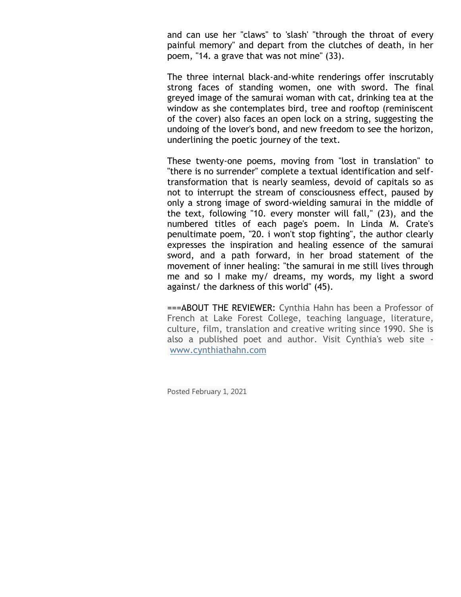and can use her "claws" to 'slash' "through the throat of every painful memory" and depart from the clutches of death, in her poem, "14. a grave that was not mine" (33).

The three internal black-and-white renderings offer inscrutably strong faces of standing women, one with sword. The final greyed image of the samurai woman with cat, drinking tea at the window as she contemplates bird, tree and rooftop (reminiscent of the cover) also faces an open lock on a string, suggesting the undoing of the lover's bond, and new freedom to see the horizon, underlining the poetic journey of the text.

These twenty-one poems, moving from "lost in translation" to "there is no surrender" complete a textual identification and selftransformation that is nearly seamless, devoid of capitals so as not to interrupt the stream of consciousness effect, paused by only a strong image of sword-wielding samurai in the middle of the text, following "10. every monster will fall," (23), and the numbered titles of each page's poem. In Linda M. Crate's penultimate poem, "20. i won't stop fighting", the author clearly expresses the inspiration and healing essence of the samurai sword, and a path forward, in her broad statement of the movement of inner healing: "the samurai in me still lives through me and so I make my/ dreams, my words, my light a sword against/ the darkness of this world" (45).

===ABOUT THE REVIEWER: Cynthia Hahn has been a Professor of French at Lake Forest College, teaching language, literature, culture, film, translation and creative writing since 1990. She is also a published poet and author. Visit Cynthia's web site [www.cynthiathahn.com](http://www.cynthiahahn.com/)

Posted February 1, 2021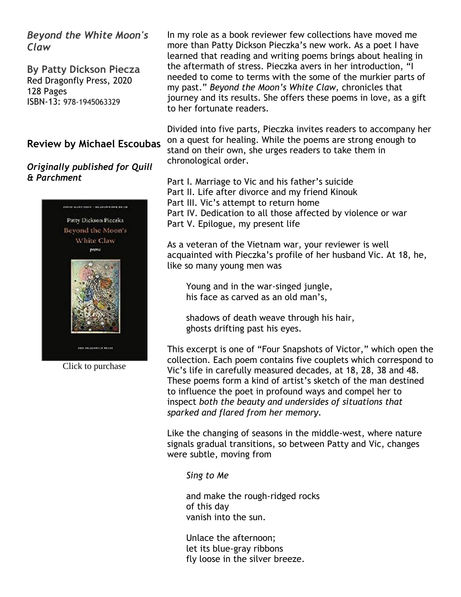*Beyond the White Moon's Claw*

**By Patty Dickson Piecza** Red Dragonfly Press, 2020 128 Pages ISBN-13: 978-1945063329

#### **Review by Michael Escoubas**

#### *Originally published for Quill & Parchment*



Click to purchase

In my role as a book reviewer few collections have moved me more than Patty Dickson Pieczka's new work. As a poet I have learned that reading and writing poems brings about healing in the aftermath of stress. Pieczka avers in her introduction, "I needed to come to terms with the some of the murkier parts of my past." *Beyond the Moon's White Claw,* chronicles that journey and its results. She offers these poems in love, as a gift to her fortunate readers.

Divided into five parts, Pieczka invites readers to accompany her on a quest for healing. While the poems are strong enough to stand on their own, she urges readers to take them in chronological order.

Part I. Marriage to Vic and his father's suicide Part II. Life after divorce and my friend Kinouk Part III. Vic's attempt to return home Part IV. Dedication to all those affected by violence or war Part V. Epilogue, my present life

As a veteran of the Vietnam war, your reviewer is well acquainted with Pieczka's profile of her husband Vic. At 18, he, like so many young men was

 Young and in the war-singed jungle, his face as carved as an old man's,

 shadows of death weave through his hair, ghosts drifting past his eyes.

This excerpt is one of "Four Snapshots of Victor," which open the collection. Each poem contains five couplets which correspond to Vic's life in carefully measured decades, at 18, 28, 38 and 48. These poems form a kind of artist's sketch of the man destined to influence the poet in profound ways and compel her to inspect *both the beauty and undersides of situations that sparked and flared from her memory.*

Like the changing of seasons in the middle-west, where nature signals gradual transitions, so between Patty and Vic, changes were subtle, moving from

*Sing to Me*

 and make the rough-ridged rocks of this day vanish into the sun.

 Unlace the afternoon; let its blue-gray ribbons fly loose in the silver breeze.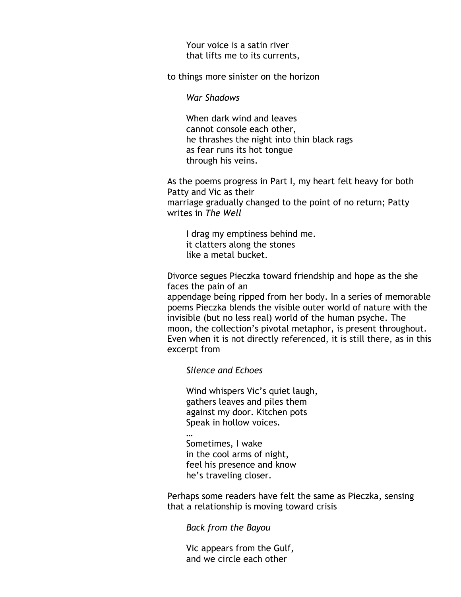Your voice is a satin river that lifts me to its currents,

to things more sinister on the horizon

*War Shadows*

 When dark wind and leaves cannot console each other, he thrashes the night into thin black rags as fear runs its hot tongue through his veins.

As the poems progress in Part I, my heart felt heavy for both Patty and Vic as their marriage gradually changed to the point of no return; Patty writes in *The Well*

 I drag my emptiness behind me. it clatters along the stones like a metal bucket.

Divorce segues Pieczka toward friendship and hope as the she faces the pain of an

appendage being ripped from her body. In a series of memorable poems Pieczka blends the visible outer world of nature with the invisible (but no less real) world of the human psyche. The moon, the collection's pivotal metaphor, is present throughout. Even when it is not directly referenced, it is still there, as in this excerpt from

 *Silence and Echoes*

…

 Wind whispers Vic's quiet laugh, gathers leaves and piles them against my door. Kitchen pots Speak in hollow voices.

 Sometimes, I wake in the cool arms of night, feel his presence and know he's traveling closer.

Perhaps some readers have felt the same as Pieczka, sensing that a relationship is moving toward crisis

 *Back from the Bayou*

 Vic appears from the Gulf, and we circle each other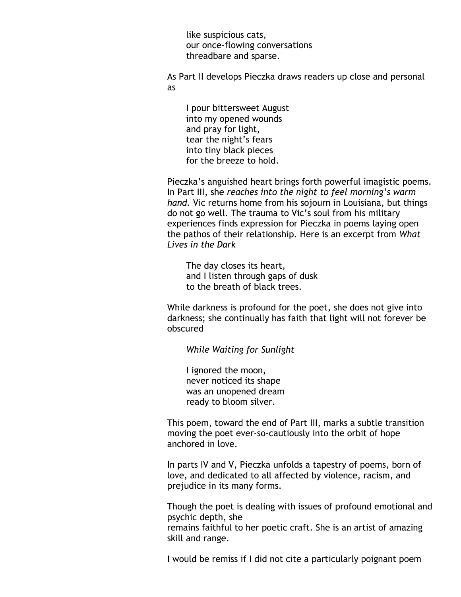like suspicious cats, our once-flowing conversations threadbare and sparse.

As Part II develops Pieczka draws readers up close and personal as

 I pour bittersweet August into my opened wounds and pray for light, tear the night's fears into tiny black pieces for the breeze to hold.

Pieczka's anguished heart brings forth powerful imagistic poems. In Part III, she *reaches into the night to feel morning's warm hand.* Vic returns home from his sojourn in Louisiana, but things do not go well. The trauma to Vic's soul from his military experiences finds expression for Pieczka in poems laying open the pathos of their relationship. Here is an excerpt from *What Lives in the Dark*

 The day closes its heart, and I listen through gaps of dusk to the breath of black trees.

While darkness is profound for the poet, she does not give into darkness; she continually has faith that light will not forever be obscured

 *While Waiting for Sunlight*

 I ignored the moon, never noticed its shape was an unopened dream ready to bloom silver.

This poem, toward the end of Part III, marks a subtle transition moving the poet ever-so-cautiously into the orbit of hope anchored in love.

In parts IV and V, Pieczka unfolds a tapestry of poems, born of love, and dedicated to all affected by violence, racism, and prejudice in its many forms.

Though the poet is dealing with issues of profound emotional and psychic depth, she remains faithful to her poetic craft. She is an artist of amazing skill and range.

I would be remiss if I did not cite a particularly poignant poem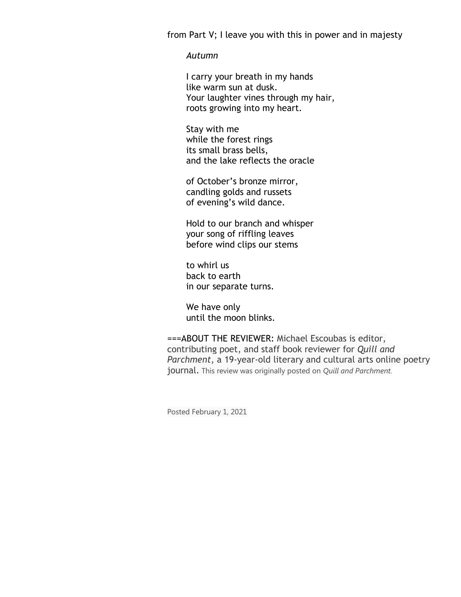from Part V; I leave you with this in power and in majesty

#### *Autumn*

 I carry your breath in my hands like warm sun at dusk. Your laughter vines through my hair, roots growing into my heart.

 Stay with me while the forest rings its small brass bells, and the lake reflects the oracle

 of October's bronze mirror, candling golds and russets of evening's wild dance.

 Hold to our branch and whisper your song of riffling leaves before wind clips our stems

 to whirl us back to earth in our separate turns.

 We have only until the moon blinks.

===ABOUT THE REVIEWER: Michael Escoubas is editor, contributing poet, and staff book reviewer for *Quill and Parchment*, a 19-year-old literary and cultural arts online poetry journal. This review was originally posted on *Quill and Parchment.*

Posted February 1, 2021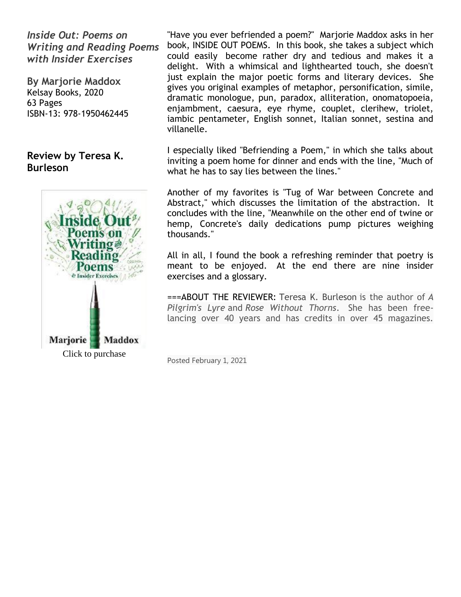*Inside Out: Poems on Writing and Reading Poems with Insider Exercises*

**By Marjorie Maddox** Kelsay Books, 2020 63 Pages ISBN-13: 978-1950462445

# **Review by Teresa K. Burleson**



"Have you ever befriended a poem?" Marjorie Maddox asks in her book, INSIDE OUT POEMS. In this book, she takes a subject which could easily become rather dry and tedious and makes it a delight. With a whimsical and lighthearted touch, she doesn't just explain the major poetic forms and literary devices. She gives you original examples of metaphor, personification, simile, dramatic monologue, pun, paradox, alliteration, onomatopoeia, enjambment, caesura, eye rhyme, couplet, clerihew, triolet, iambic pentameter, English sonnet, Italian sonnet, sestina and villanelle.

I especially liked "Befriending a Poem," in which she talks about inviting a poem home for dinner and ends with the line, "Much of what he has to say lies between the lines."

Another of my favorites is "Tug of War between Concrete and Abstract," which discusses the limitation of the abstraction. It concludes with the line, "Meanwhile on the other end of twine or hemp, Concrete's daily dedications pump pictures weighing thousands."

All in all, I found the book a refreshing reminder that poetry is meant to be enjoyed. At the end there are nine insider exercises and a glossary.

===ABOUT THE REVIEWER: Teresa K. Burleson is the author of *A Pilgrim's Lyre* and *Rose Without Thorns*. She has been freelancing over 40 years and has credits in over 45 magazines.

Posted February 1, 2021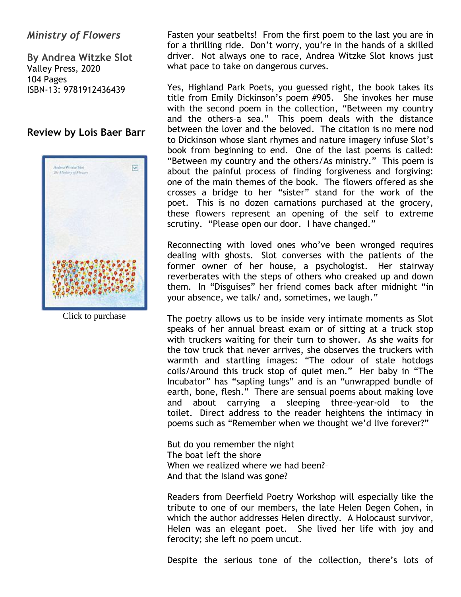### *Ministry of Flowers*

**By Andrea Witzke Slot** Valley Press, 2020 104 Pages ISBN-13: 9781912436439

#### **Review by Lois Baer Barr**



Click to purchase

Fasten your seatbelts! From the first poem to the last you are in for a thrilling ride. Don't worry, you're in the hands of a skilled driver. Not always one to race, Andrea Witzke Slot knows just what pace to take on dangerous curves.

Yes, Highland Park Poets, you guessed right, the book takes its title from Emily Dickinson's poem #905. She invokes her muse with the second poem in the collection, "Between my country and the others–a sea." This poem deals with the distance between the lover and the beloved. The citation is no mere nod to Dickinson whose slant rhymes and nature imagery infuse Slot's book from beginning to end. One of the last poems is called: "Between my country and the others/As ministry." This poem is about the painful process of finding forgiveness and forgiving: one of the main themes of the book. The flowers offered as she crosses a bridge to her "sister" stand for the work of the poet. This is no dozen carnations purchased at the grocery, these flowers represent an opening of the self to extreme scrutiny. "Please open our door. I have changed."

Reconnecting with loved ones who've been wronged requires dealing with ghosts. Slot converses with the patients of the former owner of her house, a psychologist. Her stairway reverberates with the steps of others who creaked up and down them. In "Disguises" her friend comes back after midnight "in your absence, we talk/ and, sometimes, we laugh."

The poetry allows us to be inside very intimate moments as Slot speaks of her annual breast exam or of sitting at a truck stop with truckers waiting for their turn to shower. As she waits for the tow truck that never arrives, she observes the truckers with warmth and startling images: "The odour of stale hotdogs coils/Around this truck stop of quiet men." Her baby in "The Incubator" has "sapling lungs" and is an "unwrapped bundle of earth, bone, flesh." There are sensual poems about making love and about carrying a sleeping three-year-old to the toilet. Direct address to the reader heightens the intimacy in poems such as "Remember when we thought we'd live forever?"

But do you remember the night The boat left the shore When we realized where we had been?-And that the Island was gone?

Readers from Deerfield Poetry Workshop will especially like the tribute to one of our members, the late Helen Degen Cohen, in which the author addresses Helen directly. A Holocaust survivor, Helen was an elegant poet. She lived her life with joy and ferocity; she left no poem uncut.

Despite the serious tone of the collection, there's lots of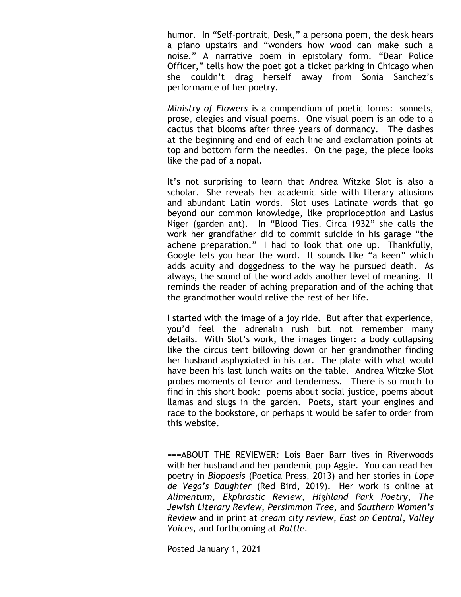humor. In "Self-portrait, Desk," a persona poem, the desk hears a piano upstairs and "wonders how wood can make such a noise." A narrative poem in epistolary form, "Dear Police Officer," tells how the poet got a ticket parking in Chicago when she couldn't drag herself away from Sonia Sanchez's performance of her poetry.

*Ministry of Flowers* is a compendium of poetic forms: sonnets, prose, elegies and visual poems. One visual poem is an ode to a cactus that blooms after three years of dormancy. The dashes at the beginning and end of each line and exclamation points at top and bottom form the needles. On the page, the piece looks like the pad of a nopal.

It's not surprising to learn that Andrea Witzke Slot is also a scholar. She reveals her academic side with literary allusions and abundant Latin words. Slot uses Latinate words that go beyond our common knowledge, like proprioception and Lasius Niger (garden ant). In "Blood Ties, Circa 1932" she calls the work her grandfather did to commit suicide in his garage "the achene preparation." I had to look that one up. Thankfully, Google lets you hear the word. It sounds like "a keen" which adds acuity and doggedness to the way he pursued death. As always, the sound of the word adds another level of meaning. It reminds the reader of aching preparation and of the aching that the grandmother would relive the rest of her life.

I started with the image of a joy ride. But after that experience, you'd feel the adrenalin rush but not remember many details. With Slot's work, the images linger: a body collapsing like the circus tent billowing down or her grandmother finding her husband asphyxiated in his car. The plate with what would have been his last lunch waits on the table. Andrea Witzke Slot probes moments of terror and tenderness. There is so much to find in this short book: poems about social justice, poems about llamas and slugs in the garden. Poets, start your engines and race to the bookstore, or perhaps it would be safer to order from this website.

===ABOUT THE REVIEWER: Lois Baer Barr lives in Riverwoods with her husband and her pandemic pup Aggie. You can read her poetry in *Biopoesis* (Poetica Press, 2013) and her stories in *Lope de Vega's Daughter* (Red Bird, 2019). Her work is online at *Alimentum*, *Ekphrastic Review*, *Highland Park Poetry*, *The Jewish Literary Review, Persimmon Tree,* and *Southern Women's Review* and in print at *cream city review, East on Central*, *Valley Voices,* and forthcoming at *Rattle.*

Posted January 1, 2021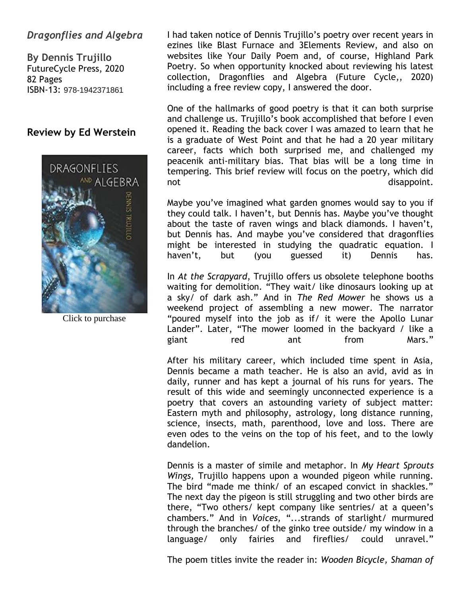# *Dragonflies and Algebra*

**By Dennis Trujillo** FutureCycle Press, 2020 82 Pages ISBN-13: 978-1942371861

#### **Review by Ed Werstein**



Click to purchase

I had taken notice of Dennis Trujillo's poetry over recent years in ezines like Blast Furnace and 3Elements Review, and also on websites like Your Daily Poem and, of course, Highland Park Poetry. So when opportunity knocked about reviewing his latest collection, Dragonflies and Algebra (Future Cycle,, 2020) including a free review copy, I answered the door.

One of the hallmarks of good poetry is that it can both surprise and challenge us. Trujillo's book accomplished that before I even opened it. Reading the back cover I was amazed to learn that he is a graduate of West Point and that he had a 20 year military career, facts which both surprised me, and challenged my peacenik anti-military bias. That bias will be a long time in tempering. This brief review will focus on the poetry, which did not disappoint.

Maybe you've imagined what garden gnomes would say to you if they could talk. I haven't, but Dennis has. Maybe you've thought about the taste of raven wings and black diamonds. I haven't, but Dennis has. And maybe you've considered that dragonflies might be interested in studying the quadratic equation. I haven't, but (you guessed it) Dennis has.

In *At the Scrapyard*, Trujillo offers us obsolete telephone booths waiting for demolition. "They wait/ like dinosaurs looking up at a sky/ of dark ash." And in *The Red Mower* he shows us a weekend project of assembling a new mower. The narrator "poured myself into the job as if/ it were the Apollo Lunar Lander". Later, "The mower loomed in the backyard / like a giant red ant from Mars."

After his military career, which included time spent in Asia, Dennis became a math teacher. He is also an avid, avid as in daily, runner and has kept a journal of his runs for years. The result of this wide and seemingly unconnected experience is a poetry that covers an astounding variety of subject matter: Eastern myth and philosophy, astrology, long distance running, science, insects, math, parenthood, love and loss. There are even odes to the veins on the top of his feet, and to the lowly dandelion.

Dennis is a master of simile and metaphor. In *My Heart Sprouts Wings,* Trujillo happens upon a wounded pigeon while running. The bird "made me think/ of an escaped convict in shackles." The next day the pigeon is still struggling and two other birds are there, "Two others/ kept company like sentries/ at a queen's chambers." And in *Voices,* "...strands of starlight/ murmured through the branches/ of the ginko tree outside/ my window in a language/ only fairies and fireflies/ could unravel."

The poem titles invite the reader in: *Wooden Bicycle, Shaman of*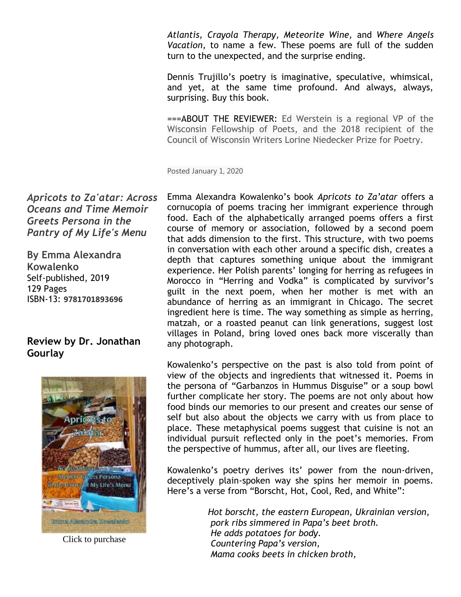*Atlantis, Crayola Therapy, Meteorite Wine,* and *Where Angels Vacation,* to name a few. These poems are full of the sudden turn to the unexpected, and the surprise ending.

Dennis Trujillo's poetry is imaginative, speculative, whimsical, and yet, at the same time profound. And always, always, surprising. Buy this book.

===ABOUT THE REVIEWER: Ed Werstein is a regional VP of the Wisconsin Fellowship of Poets, and the 2018 recipient of the Council of Wisconsin Writers Lorine Niedecker Prize for Poetry.

Posted January 1, 2020

Emma Alexandra Kowalenko's book *Apricots to Za'atar* offers a cornucopia of poems tracing her immigrant experience through food. Each of the alphabetically arranged poems offers a first course of memory or association, followed by a second poem that adds dimension to the first. This structure, with two poems in conversation with each other around a specific dish, creates a depth that captures something unique about the immigrant experience. Her Polish parents' longing for herring as refugees in Morocco in "Herring and Vodka" is complicated by survivor's guilt in the next poem, when her mother is met with an abundance of herring as an immigrant in Chicago. The secret ingredient here is time. The way something as simple as herring, matzah, or a roasted peanut can link generations, suggest lost villages in Poland, bring loved ones back more viscerally than any photograph.

Kowalenko's perspective on the past is also told from point of view of the objects and ingredients that witnessed it. Poems in the persona of "Garbanzos in Hummus Disguise" or a soup bowl further complicate her story. The poems are not only about how food binds our memories to our present and creates our sense of self but also about the objects we carry with us from place to place. These metaphysical poems suggest that cuisine is not an individual pursuit reflected only in the poet's memories. From the perspective of hummus, after all, our lives are fleeting.

Kowalenko's poetry derives its' power from the noun-driven, deceptively plain-spoken way she spins her memoir in poems. Here's a verse from "Borscht, Hot, Cool, Red, and White":

> *Hot borscht, the eastern European, Ukrainian version, pork ribs simmered in Papa's beet broth. He adds potatoes for body. Countering Papa's version, Mama cooks beets in chicken broth,*

*Apricots to Za'atar: Across Oceans and Time Memoir Greets Persona in the Pantry of My Life's Menu*

**By Emma Alexandra Kowalenko** Self-published, 2019 129 Pages ISBN-13: **9781701893696**

# **Review by Dr. Jonathan Gourlay**



Click to purchase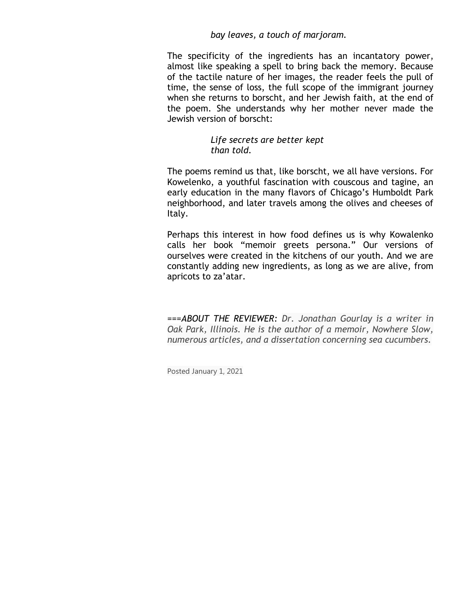#### *bay leaves, a touch of marjoram.*

The specificity of the ingredients has an incantatory power, almost like speaking a spell to bring back the memory. Because of the tactile nature of her images, the reader feels the pull of time, the sense of loss, the full scope of the immigrant journey when she returns to borscht, and her Jewish faith, at the end of the poem. She understands why her mother never made the Jewish version of borscht:

#### *Life secrets are better kept than told.*

The poems remind us that, like borscht, we all have versions. For Kowelenko, a youthful fascination with couscous and tagine, an early education in the many flavors of Chicago's Humboldt Park neighborhood, and later travels among the olives and cheeses of Italy.

Perhaps this interest in how food defines us is why Kowalenko calls her book "memoir greets persona." Our versions of ourselves were created in the kitchens of our youth. And we are constantly adding new ingredients, as long as we are alive, from apricots to za'atar.

*===ABOUT THE REVIEWER: Dr. Jonathan Gourlay is a writer in Oak Park, Illinois. He is the author of a memoir, Nowhere Slow, numerous articles, and a dissertation concerning sea cucumbers.*

Posted January 1, 2021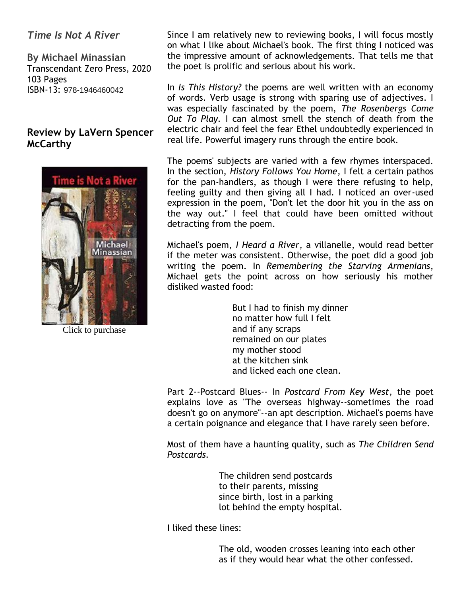*Time Is Not A River*

**By Michael Minassian** Transcendant Zero Press, 2020 103 Pages ISBN-13: 978-1946460042

### **Review by LaVern Spencer McCarthy**



Click to purchase

Since I am relatively new to reviewing books, I will focus mostly on what I like about Michael's book. The first thing I noticed was the impressive amount of acknowledgements. That tells me that the poet is prolific and serious about his work.

In *Is This History?* the poems are well written with an economy of words. Verb usage is strong with sparing use of adjectives. I was especially fascinated by the poem, *The Rosenbergs Come Out To Play.* I can almost smell the stench of death from the electric chair and feel the fear Ethel undoubtedly experienced in real life. Powerful imagery runs through the entire book.

The poems' subjects are varied with a few rhymes interspaced. In the section, *History Follows You Home*, I felt a certain pathos for the pan-handlers, as though I were there refusing to help, feeling guilty and then giving all I had. I noticed an over-used expression in the poem, "Don't let the door hit you in the ass on the way out." I feel that could have been omitted without detracting from the poem.

Michael's poem, *I Heard a River*, a villanelle, would read better if the meter was consistent. Otherwise, the poet did a good job writing the poem. In *Remembering the Starving Armenians*, Michael gets the point across on how seriously his mother disliked wasted food:

> But I had to finish my dinner no matter how full I felt and if any scraps remained on our plates my mother stood at the kitchen sink and licked each one clean.

Part 2--Postcard Blues-- In *Postcard From Key West*, the poet explains love as "The overseas highway--sometimes the road doesn't go on anymore"--an apt description. Michael's poems have a certain poignance and elegance that I have rarely seen before.

Most of them have a haunting quality, such as *The Children Send Postcards.*

> The children send postcards to their parents, missing since birth, lost in a parking lot behind the empty hospital.

I liked these lines:

 The old, wooden crosses leaning into each other as if they would hear what the other confessed.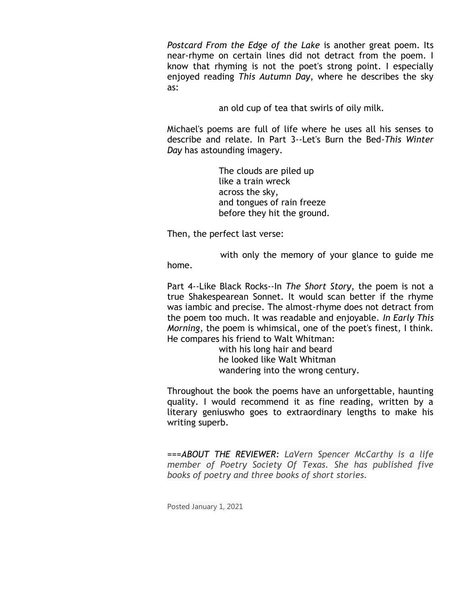*Postcard From the Edge of the Lake* is another great poem. Its near-rhyme on certain lines did not detract from the poem. I know that rhyming is not the poet's strong point. I especially enjoyed reading *This Autumn Day*, where he describes the sky as:

an old cup of tea that swirls of oily milk.

Michael's poems are full of life where he uses all his senses to describe and relate. In Part 3--Let's Burn the Bed-*This Winter Day* has astounding imagery.

> The clouds are piled up like a train wreck across the sky, and tongues of rain freeze before they hit the ground.

Then, the perfect last verse:

 with only the memory of your glance to guide me home.

Part 4--Like Black Rocks--In *The Short Story*, the poem is not a true Shakespearean Sonnet. It would scan better if the rhyme was iambic and precise. The almost-rhyme does not detract from the poem too much. It was readable and enjoyable. *In Early This Morning*, the poem is whimsical, one of the poet's finest, I think. He compares his friend to Walt Whitman:

> with his long hair and beard he looked like Walt Whitman wandering into the wrong century.

Throughout the book the poems have an unforgettable, haunting quality. I would recommend it as fine reading, written by a literary geniuswho goes to extraordinary lengths to make his writing superb.

*===ABOUT THE REVIEWER: LaVern Spencer McCarthy is a life member of Poetry Society Of Texas. She has published five books of poetry and three books of short stories.*

Posted January 1, 2021